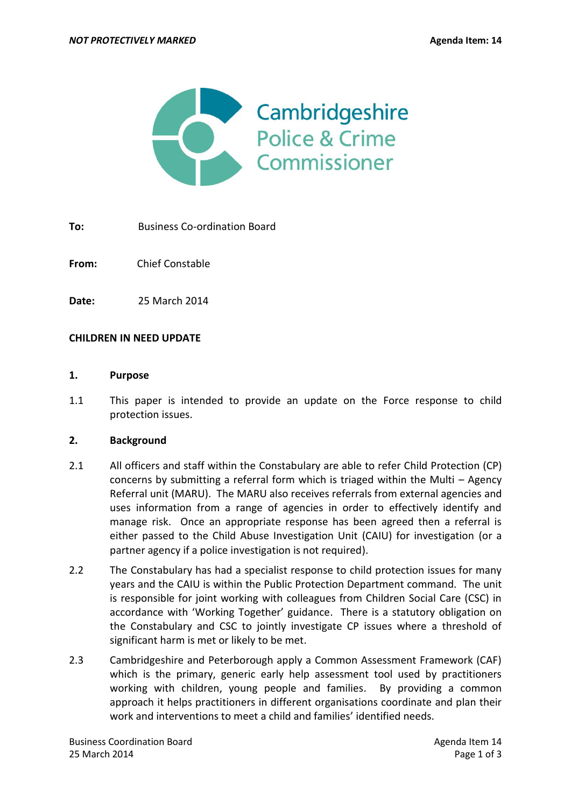

**To:** Business Co-ordination Board

**From:** Chief Constable

**Date:** 25 March 2014

#### **CHILDREN IN NEED UPDATE**

#### **1. Purpose**

1.1 This paper is intended to provide an update on the Force response to child protection issues.

#### **2. Background**

- 2.1 All officers and staff within the Constabulary are able to refer Child Protection (CP) concerns by submitting a referral form which is triaged within the Multi – Agency Referral unit (MARU). The MARU also receives referrals from external agencies and uses information from a range of agencies in order to effectively identify and manage risk. Once an appropriate response has been agreed then a referral is either passed to the Child Abuse Investigation Unit (CAIU) for investigation (or a partner agency if a police investigation is not required).
- 2.2 The Constabulary has had a specialist response to child protection issues for many years and the CAIU is within the Public Protection Department command. The unit is responsible for joint working with colleagues from Children Social Care (CSC) in accordance with 'Working Together' guidance. There is a statutory obligation on the Constabulary and CSC to jointly investigate CP issues where a threshold of significant harm is met or likely to be met.
- 2.3 Cambridgeshire and Peterborough apply a Common Assessment Framework (CAF) which is the primary, generic early help assessment tool used by practitioners working with children, young people and families. By providing a common approach it helps practitioners in different organisations coordinate and plan their work and interventions to meet a child and families' identified needs.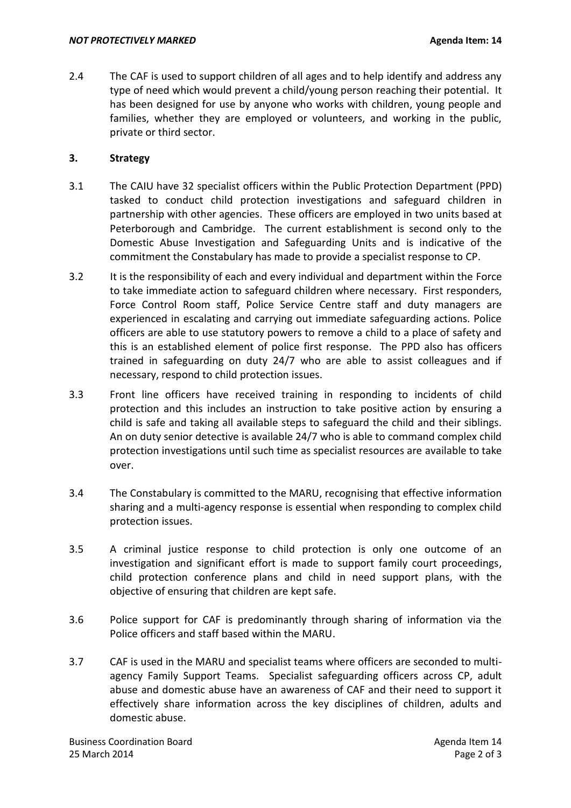2.4 The CAF is used to support children of all ages and to help identify and address any type of need which would prevent a child/young person reaching their potential. It has been designed for use by anyone who works with children, young people and families, whether they are employed or volunteers, and working in the public, private or third sector.

# **3. Strategy**

- 3.1 The CAIU have 32 specialist officers within the Public Protection Department (PPD) tasked to conduct child protection investigations and safeguard children in partnership with other agencies. These officers are employed in two units based at Peterborough and Cambridge. The current establishment is second only to the Domestic Abuse Investigation and Safeguarding Units and is indicative of the commitment the Constabulary has made to provide a specialist response to CP.
- 3.2 It is the responsibility of each and every individual and department within the Force to take immediate action to safeguard children where necessary. First responders, Force Control Room staff, Police Service Centre staff and duty managers are experienced in escalating and carrying out immediate safeguarding actions. Police officers are able to use statutory powers to remove a child to a place of safety and this is an established element of police first response. The PPD also has officers trained in safeguarding on duty 24/7 who are able to assist colleagues and if necessary, respond to child protection issues.
- 3.3 Front line officers have received training in responding to incidents of child protection and this includes an instruction to take positive action by ensuring a child is safe and taking all available steps to safeguard the child and their siblings. An on duty senior detective is available 24/7 who is able to command complex child protection investigations until such time as specialist resources are available to take over.
- 3.4 The Constabulary is committed to the MARU, recognising that effective information sharing and a multi-agency response is essential when responding to complex child protection issues.
- 3.5 A criminal justice response to child protection is only one outcome of an investigation and significant effort is made to support family court proceedings, child protection conference plans and child in need support plans, with the objective of ensuring that children are kept safe.
- 3.6 Police support for CAF is predominantly through sharing of information via the Police officers and staff based within the MARU.
- 3.7 CAF is used in the MARU and specialist teams where officers are seconded to multiagency Family Support Teams. Specialist safeguarding officers across CP, adult abuse and domestic abuse have an awareness of CAF and their need to support it effectively share information across the key disciplines of children, adults and domestic abuse.